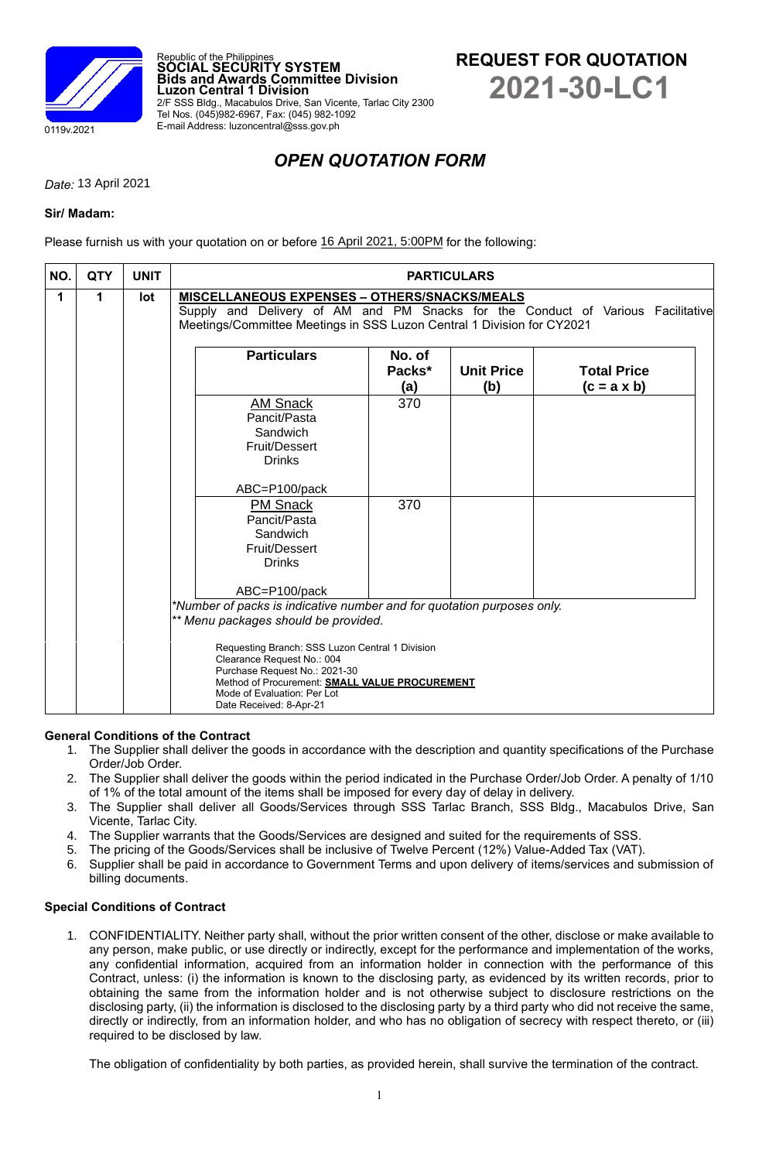

Republic of the Philippines **SOCIAL SECURITY SYSTEM Bids and Awards Committee Division Luzon Central 1 Division** 2/F SSS Bldg., Macabulos Drive, San Vicente, Tarlac City 2300 Tel Nos. (045)982-6967, Fax: (045) 982-1092 E-mail Address: luzoncentral@sss.gov.ph

# **REQUEST FOR QUOTATION 2021-30-LC1**

## *OPEN QUOTATION FORM*

*Date: 12 April 2021* 13 April 2021

### **Sir/ Madam:**

Please furnish us with your quotation on or before 16 April 2021, 5:00PM for the following:

| <b>QTY</b> | <b>UNIT</b> | <b>PARTICULARS</b>                                                                                                                                                                                               |                                                           |                                                                                                |                                                                                                                                 |  |  |
|------------|-------------|------------------------------------------------------------------------------------------------------------------------------------------------------------------------------------------------------------------|-----------------------------------------------------------|------------------------------------------------------------------------------------------------|---------------------------------------------------------------------------------------------------------------------------------|--|--|
| 1          | lot         | <b>MISCELLANEOUS EXPENSES - OTHERS/SNACKS/MEALS</b><br>Supply and Delivery of AM and PM Snacks for the Conduct of Various Facilitative<br>Meetings/Committee Meetings in SSS Luzon Central 1 Division for CY2021 |                                                           |                                                                                                |                                                                                                                                 |  |  |
|            |             | <b>Particulars</b>                                                                                                                                                                                               | No. of<br>Packs*                                          | <b>Unit Price</b>                                                                              | <b>Total Price</b><br>$(c = a \times b)$                                                                                        |  |  |
|            |             | <b>AM Snack</b><br>Pancit/Pasta<br>Sandwich<br>Fruit/Dessert<br><b>Drinks</b>                                                                                                                                    | 370                                                       |                                                                                                |                                                                                                                                 |  |  |
|            |             | <b>PM Snack</b><br>Pancit/Pasta<br>Sandwich<br>Fruit/Dessert<br><b>Drinks</b>                                                                                                                                    | 370                                                       |                                                                                                |                                                                                                                                 |  |  |
|            |             | Clearance Request No.: 004<br>Purchase Request No.: 2021-30<br>Mode of Evaluation: Per Lot                                                                                                                       |                                                           |                                                                                                |                                                                                                                                 |  |  |
|            |             |                                                                                                                                                                                                                  | ABC=P100/pack<br>ABC=P100/pack<br>Date Received: 8-Apr-21 | (a)<br>** Menu packages should be provided.<br>Requesting Branch: SSS Luzon Central 1 Division | (b)<br>*Number of packs is indicative number and for quotation purposes only.<br>Method of Procurement: SMALL VALUE PROCUREMENT |  |  |

#### **General Conditions of the Contract**

- 1. The Supplier shall deliver the goods in accordance with the description and quantity specifications of the Purchase Order/Job Order.
- 2. The Supplier shall deliver the goods within the period indicated in the Purchase Order/Job Order. A penalty of 1/10 of 1% of the total amount of the items shall be imposed for every day of delay in delivery.
- 3. The Supplier shall deliver all Goods/Services through SSS Tarlac Branch, SSS Bldg., Macabulos Drive, San Vicente, Tarlac City.
- 4. The Supplier warrants that the Goods/Services are designed and suited for the requirements of SSS.
- 5. The pricing of the Goods/Services shall be inclusive of Twelve Percent (12%) Value-Added Tax (VAT).<br>6. Supplier shall be paid in accordance to Government Terms and upon deliverv of items/services and si
- Supplier shall be paid in accordance to Government Terms and upon delivery of items/services and submission of billing documents.

#### **Special Conditions of Contract**

1. CONFIDENTIALITY. Neither party shall, without the prior written consent of the other, disclose or make available to any person, make public, or use directly or indirectly, except for the performance and implementation of the works, any confidential information, acquired from an information holder in connection with the performance of this Contract, unless: (i) the information is known to the disclosing party, as evidenced by its written records, prior to obtaining the same from the information holder and is not otherwise subject to disclosure restrictions on the disclosing party, (ii) the information is disclosed to the disclosing party by a third party who did not receive the same, directly or indirectly, from an information holder, and who has no obligation of secrecy with respect thereto, or (iii) required to be disclosed by law.

The obligation of confidentiality by both parties, as provided herein, shall survive the termination of the contract.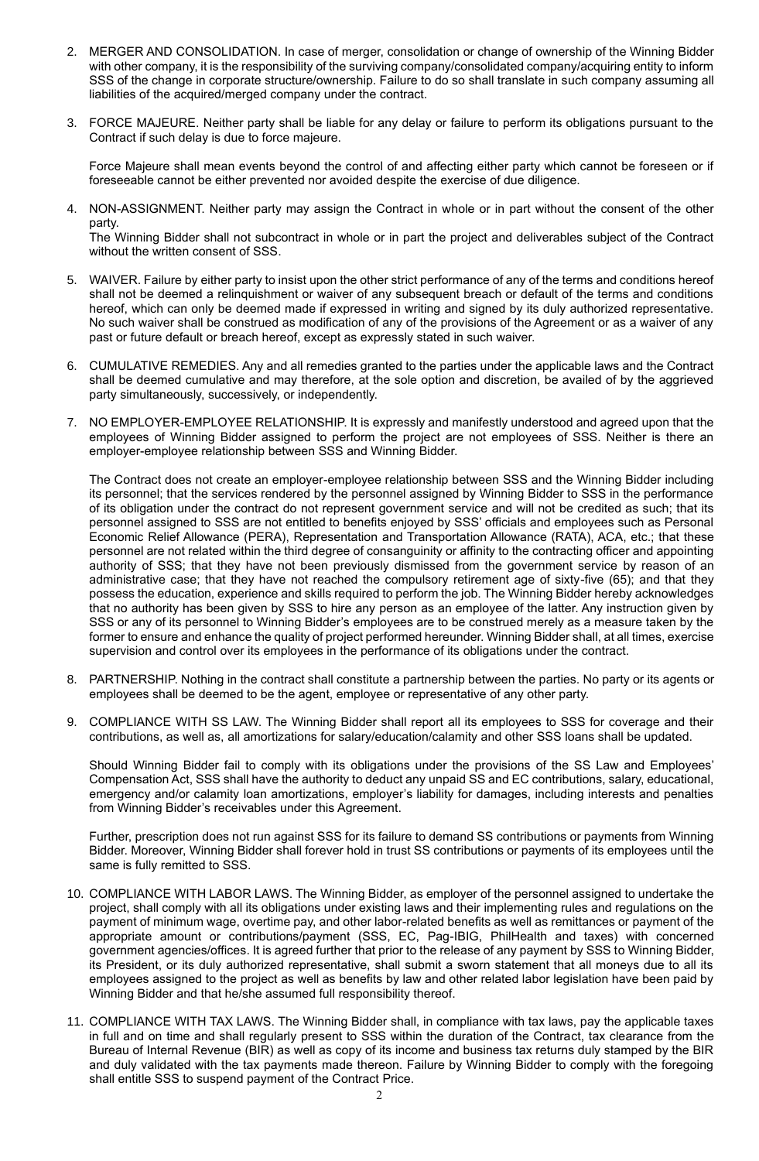- 2. MERGER AND CONSOLIDATION. In case of merger, consolidation or change of ownership of the Winning Bidder with other company, it is the responsibility of the surviving company/consolidated company/acquiring entity to inform SSS of the change in corporate structure/ownership. Failure to do so shall translate in such company assuming all liabilities of the acquired/merged company under the contract.
- 3. FORCE MAJEURE. Neither party shall be liable for any delay or failure to perform its obligations pursuant to the Contract if such delay is due to force majeure.

Force Majeure shall mean events beyond the control of and affecting either party which cannot be foreseen or if foreseeable cannot be either prevented nor avoided despite the exercise of due diligence.

4. NON-ASSIGNMENT. Neither party may assign the Contract in whole or in part without the consent of the other party.

The Winning Bidder shall not subcontract in whole or in part the project and deliverables subject of the Contract without the written consent of SSS.

- 5. WAIVER. Failure by either party to insist upon the other strict performance of any of the terms and conditions hereof shall not be deemed a relinquishment or waiver of any subsequent breach or default of the terms and conditions hereof, which can only be deemed made if expressed in writing and signed by its duly authorized representative. No such waiver shall be construed as modification of any of the provisions of the Agreement or as a waiver of any past or future default or breach hereof, except as expressly stated in such waiver.
- 6. CUMULATIVE REMEDIES. Any and all remedies granted to the parties under the applicable laws and the Contract shall be deemed cumulative and may therefore, at the sole option and discretion, be availed of by the aggrieved party simultaneously, successively, or independently.
- 7. NO EMPLOYER-EMPLOYEE RELATIONSHIP. It is expressly and manifestly understood and agreed upon that the employees of Winning Bidder assigned to perform the project are not employees of SSS. Neither is there an employer-employee relationship between SSS and Winning Bidder.

The Contract does not create an employer-employee relationship between SSS and the Winning Bidder including its personnel; that the services rendered by the personnel assigned by Winning Bidder to SSS in the performance of its obligation under the contract do not represent government service and will not be credited as such; that its personnel assigned to SSS are not entitled to benefits enjoyed by SSS' officials and employees such as Personal Economic Relief Allowance (PERA), Representation and Transportation Allowance (RATA), ACA, etc.; that these personnel are not related within the third degree of consanguinity or affinity to the contracting officer and appointing authority of SSS; that they have not been previously dismissed from the government service by reason of an administrative case; that they have not reached the compulsory retirement age of sixty-five (65); and that they possess the education, experience and skills required to perform the job. The Winning Bidder hereby acknowledges that no authority has been given by SSS to hire any person as an employee of the latter. Any instruction given by SSS or any of its personnel to Winning Bidder's employees are to be construed merely as a measure taken by the former to ensure and enhance the quality of project performed hereunder. Winning Bidder shall, at all times, exercise supervision and control over its employees in the performance of its obligations under the contract.

- 8. PARTNERSHIP. Nothing in the contract shall constitute a partnership between the parties. No party or its agents or employees shall be deemed to be the agent, employee or representative of any other party.
- 9. COMPLIANCE WITH SS LAW. The Winning Bidder shall report all its employees to SSS for coverage and their contributions, as well as, all amortizations for salary/education/calamity and other SSS loans shall be updated.

Should Winning Bidder fail to comply with its obligations under the provisions of the SS Law and Employees' Compensation Act, SSS shall have the authority to deduct any unpaid SS and EC contributions, salary, educational, emergency and/or calamity loan amortizations, employer's liability for damages, including interests and penalties from Winning Bidder's receivables under this Agreement.

Further, prescription does not run against SSS for its failure to demand SS contributions or payments from Winning Bidder. Moreover, Winning Bidder shall forever hold in trust SS contributions or payments of its employees until the same is fully remitted to SSS.

- 10. COMPLIANCE WITH LABOR LAWS. The Winning Bidder, as employer of the personnel assigned to undertake the project, shall comply with all its obligations under existing laws and their implementing rules and regulations on the payment of minimum wage, overtime pay, and other labor-related benefits as well as remittances or payment of the appropriate amount or contributions/payment (SSS, EC, Pag-IBIG, PhilHealth and taxes) with concerned government agencies/offices. It is agreed further that prior to the release of any payment by SSS to Winning Bidder, its President, or its duly authorized representative, shall submit a sworn statement that all moneys due to all its employees assigned to the project as well as benefits by law and other related labor legislation have been paid by Winning Bidder and that he/she assumed full responsibility thereof.
- 11. COMPLIANCE WITH TAX LAWS. The Winning Bidder shall, in compliance with tax laws, pay the applicable taxes in full and on time and shall regularly present to SSS within the duration of the Contract, tax clearance from the Bureau of Internal Revenue (BIR) as well as copy of its income and business tax returns duly stamped by the BIR and duly validated with the tax payments made thereon. Failure by Winning Bidder to comply with the foregoing shall entitle SSS to suspend payment of the Contract Price.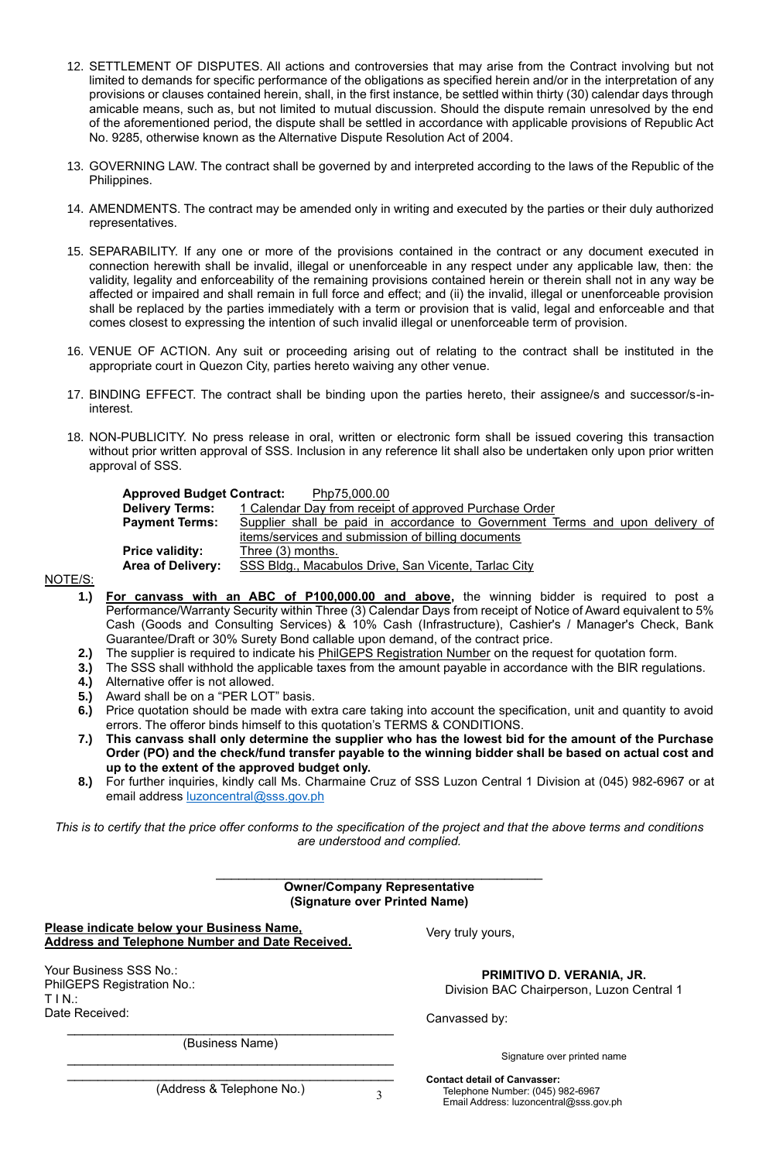- 12. SETTLEMENT OF DISPUTES. All actions and controversies that may arise from the Contract involving but not limited to demands for specific performance of the obligations as specified herein and/or in the interpretation of any provisions or clauses contained herein, shall, in the first instance, be settled within thirty (30) calendar days through amicable means, such as, but not limited to mutual discussion. Should the dispute remain unresolved by the end of the aforementioned period, the dispute shall be settled in accordance with applicable provisions of Republic Act No. 9285, otherwise known as the Alternative Dispute Resolution Act of 2004.
- 13. GOVERNING LAW. The contract shall be governed by and interpreted according to the laws of the Republic of the Philippines.
- 14. AMENDMENTS. The contract may be amended only in writing and executed by the parties or their duly authorized representatives.
- 15. SEPARABILITY. If any one or more of the provisions contained in the contract or any document executed in connection herewith shall be invalid, illegal or unenforceable in any respect under any applicable law, then: the validity, legality and enforceability of the remaining provisions contained herein or therein shall not in any way be affected or impaired and shall remain in full force and effect; and (ii) the invalid, illegal or unenforceable provision shall be replaced by the parties immediately with a term or provision that is valid, legal and enforceable and that comes closest to expressing the intention of such invalid illegal or unenforceable term of provision.
- 16. VENUE OF ACTION. Any suit or proceeding arising out of relating to the contract shall be instituted in the appropriate court in Quezon City, parties hereto waiving any other venue.
- 17. BINDING EFFECT. The contract shall be binding upon the parties hereto, their assignee/s and successor/s-ininterest.
- 18. NON-PUBLICITY. No press release in oral, written or electronic form shall be issued covering this transaction without prior written approval of SSS. Inclusion in any reference lit shall also be undertaken only upon prior written approval of SSS.

| <b>Approved Budget Contract:</b> | Php75,000.00                                                                  |  |  |  |  |
|----------------------------------|-------------------------------------------------------------------------------|--|--|--|--|
| <b>Delivery Terms:</b>           | 1 Calendar Day from receipt of approved Purchase Order                        |  |  |  |  |
| <b>Payment Terms:</b>            | Supplier shall be paid in accordance to Government Terms and upon delivery of |  |  |  |  |
|                                  | items/services and submission of billing documents                            |  |  |  |  |
| <b>Price validity:</b>           | Three (3) months.                                                             |  |  |  |  |
| Area of Delivery:                | SSS Bldg., Macabulos Drive, San Vicente, Tarlac City                          |  |  |  |  |
|                                  |                                                                               |  |  |  |  |

NOTE/S:

- **1.) For canvass with an ABC of P100,000.00 and above,** the winning bidder is required to post a Performance/Warranty Security within Three (3) Calendar Days from receipt of Notice of Award equivalent to 5% Cash (Goods and Consulting Services) & 10% Cash (Infrastructure), Cashier's / Manager's Check, Bank Guarantee/Draft or 30% Surety Bond callable upon demand, of the contract price.
- 
- **2.)** The supplier is required to indicate his **PhilGEPS Registration Number** on the request for quotation form.<br>**3.)** The SSS shall withhold the applicable taxes from the amount payable in accordance with the BIR regulat **3.)** The SSS shall withhold the applicable taxes from the amount payable in accordance with the BIR regulations.
- **4.)** Alternative offer is not allowed.
- **5.)** Award shall be on a "PER LOT" basis.
- **6.)** Price quotation should be made with extra care taking into account the specification, unit and quantity to avoid errors. The offeror binds himself to this quotation's TERMS & CONDITIONS.
- **7.) This canvass shall only determine the supplier who has the lowest bid for the amount of the Purchase Order (PO) and the check/fund transfer payable to the winning bidder shall be based on actual cost and up to the extent of the approved budget only.**
- **8.)** For further inquiries, kindly call Ms. Charmaine Cruz of SSS Luzon Central 1 Division at (045) 982-6967 or at email address [luzoncentral@sss.gov.ph](mailto:luzoncentral@sss.gov.ph)

*This is to certify that the price offer conforms to the specification of the project and that the above terms and conditions are understood and complied.*

| <b>Owner/Company Representative</b> |  |
|-------------------------------------|--|
| (Signature over Printed Name)       |  |

**Please indicate below your Business Name, Address and Telephone Number and Date Received.**

| Your Business SSS No.:     |
|----------------------------|
| PhilGEPS Registration No.: |
| TIN:                       |
| Date Received:             |

Very truly yours,

**PRIMITIVO D. VERANIA, JR.** Division BAC Chairperson, Luzon Central 1

Canvassed by:

**Contact detail of Canvasser:**

Signature over printed name

(Address & Telephone No.)

 $\mathcal{L}_\text{max}$  , and the contract of the contract of the contract of the contract of the contract of the contract of the contract of the contract of the contract of the contract of the contract of the contract of the contr (Business Name)

3

Telephone Number: (045) 982-6967 Email Address: luzoncentral@sss.gov.ph